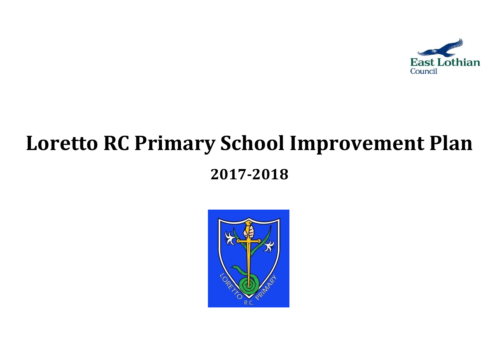

# **Loretto RC Primary School Improvement Plan 2017-2018**

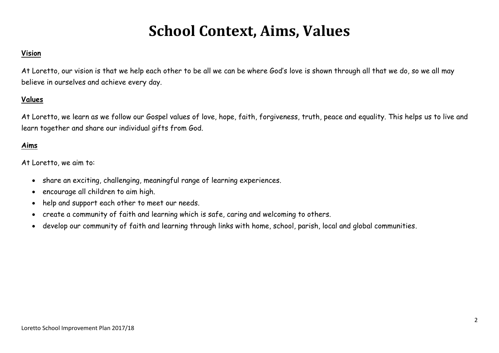# **School Context, Aims, Values**

## **Vision**

At Loretto, our vision is that we help each other to be all we can be where God's love is shown through all that we do, so we all may believe in ourselves and achieve every day.

# **Values**

At Loretto, we learn as we follow our Gospel values of love, hope, faith, forgiveness, truth, peace and equality. This helps us to live and learn together and share our individual gifts from God.

# **Aims**

At Loretto, we aim to:

- share an exciting, challenging, meaningful range of learning experiences.
- encourage all children to aim high.
- help and support each other to meet our needs.
- create a community of faith and learning which is safe, caring and welcoming to others.
- develop our community of faith and learning through links with home, school, parish, local and global communities.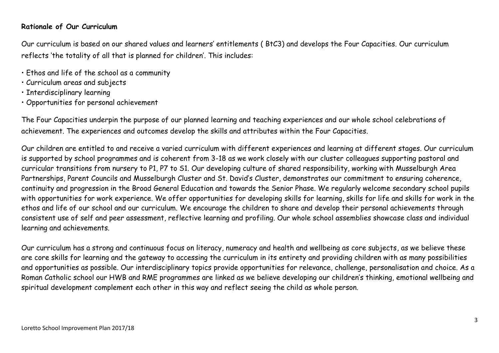## **Rationale of Our Curriculum**

Our curriculum is based on our shared values and learners' entitlements ( BtC3) and develops the Four Capacities. Our curriculum reflects 'the totality of all that is planned for children'. This includes:

- Ethos and life of the school as a community
- Curriculum areas and subjects
- Interdisciplinary learning
- Opportunities for personal achievement

The Four Capacities underpin the purpose of our planned learning and teaching experiences and our whole school celebrations of achievement. The experiences and outcomes develop the skills and attributes within the Four Capacities.

Our children are entitled to and receive a varied curriculum with different experiences and learning at different stages. Our curriculum is supported by school programmes and is coherent from 3-18 as we work closely with our cluster colleagues supporting pastoral and curricular transitions from nursery to P1, P7 to S1. Our developing culture of shared responsibility, working with Musselburgh Area Partnerships, Parent Councils and Musselburgh Cluster and St. David's Cluster, demonstrates our commitment to ensuring coherence, continuity and progression in the Broad General Education and towards the Senior Phase. We regularly welcome secondary school pupils with opportunities for work experience. We offer opportunities for developing skills for learning, skills for life and skills for work in the ethos and life of our school and our curriculum. We encourage the children to share and develop their personal achievements through consistent use of self and peer assessment, reflective learning and profiling. Our whole school assemblies showcase class and individual learning and achievements.

Our curriculum has a strong and continuous focus on literacy, numeracy and health and wellbeing as core subjects, as we believe these are core skills for learning and the gateway to accessing the curriculum in its entirety and providing children with as many possibilities and opportunities as possible. Our interdisciplinary topics provide opportunities for relevance, challenge, personalisation and choice. As a Roman Catholic school our HWB and RME programmes are linked as we believe developing our children's thinking, emotional wellbeing and spiritual development complement each other in this way and reflect seeing the child as whole person.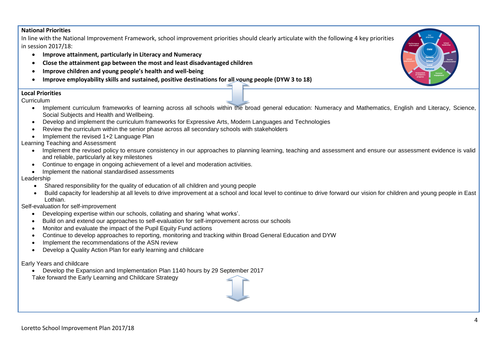#### **National Priorities**

In line with the National Improvement Framework, school improvement priorities should clearly articulate with the following 4 key priorities in session 2017/18:

- **Improve attainment, particularly in Literacy and Numeracy**
- **Close the attainment gap between the most and least disadvantaged children**
- **Improve children and young people's health and well-being**
- **Improve employability skills and sustained, positive destinations for all young people (DYW 3 to 18)**

#### **Local Priorities**

Curriculum

- Implement curriculum frameworks of learning across all schools within the broad general education: Numeracy and Mathematics, English and Literacy, Science, Social Subjects and Health and Wellbeing.
- Develop and implement the curriculum frameworks for Expressive Arts, Modern Languages and Technologies
- Review the curriculum within the senior phase across all secondary schools with stakeholders
- Implement the revised 1+2 Language Plan

Learning Teaching and Assessment

- Implement the revised policy to ensure consistency in our approaches to planning learning, teaching and assessment and ensure our assessment evidence is valid and reliable, particularly at key milestones
- Continue to engage in ongoing achievement of a level and moderation activities.
- Implement the national standardised assessments

#### Leadership

- Shared responsibility for the quality of education of all children and young people
- Build capacity for leadership at all levels to drive improvement at a school and local level to continue to drive forward our vision for children and young people in East Lothian.

Self-evaluation for self-improvement

- Developing expertise within our schools, collating and sharing 'what works'.
- Build on and extend our approaches to self-evaluation for self-improvement across our schools
- Monitor and evaluate the impact of the Pupil Equity Fund actions
- Continue to develop approaches to reporting, monitoring and tracking within Broad General Education and DYW
- Implement the recommendations of the ASN review
- Develop a Quality Action Plan for early learning and childcare

Early Years and childcare

Develop the Expansion and Implementation Plan 1140 hours by 29 September 2017

Take forward the Early Learning and Childcare Strategy

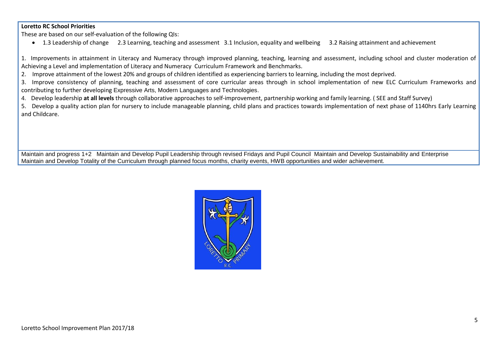#### **Loretto RC School Priorities**

These are based on our self-evaluation of the following QIs:

1.3 Leadership of change 2.3 Learning, teaching and assessment 3.1 Inclusion, equality and wellbeing 3.2 Raising attainment and achievement

1. Improvements in attainment in Literacy and Numeracy through improved planning, teaching, learning and assessment, including school and cluster moderation of Achieving a Level and implementation of Literacy and Numeracy Curriculum Framework and Benchmarks.

2. Improve attainment of the lowest 20% and groups of children identified as experiencing barriers to learning, including the most deprived.

3. Improve consistency of planning, teaching and assessment of core curricular areas through in school implementation of new ELC Curriculum Frameworks and contributing to further developing Expressive Arts, Modern Languages and Technologies.

4. Develop leadership **at all levels** through collaborative approaches to self-improvement, partnership working and family learning. ( SEE and Staff Survey)

5. Develop a quality action plan for nursery to include manageable planning, child plans and practices towards implementation of next phase of 1140hrs Early Learning and Childcare.

Maintain and progress 1+2 Maintain and Develop Pupil Leadership through revised Fridays and Pupil Council Maintain and Develop Sustainability and Enterprise Maintain and Develop Totality of the Curriculum through planned focus months, charity events, HWB opportunities and wider achievement.

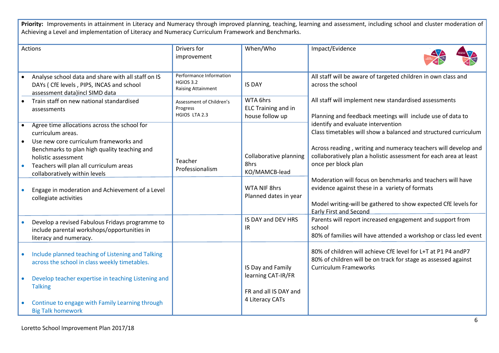Priority: Improvements in attainment in Literacy and Numeracy through improved planning, teaching, learning and assessment, including school and cluster moderation of Achieving a Level and implementation of Literacy and Numeracy Curriculum Framework and Benchmarks.

| Actions                                                                                                                                         | Drivers for<br>improvement                                               | When/Who                                                  | Impact/Evidence                                                                                                                                                                                                 |
|-------------------------------------------------------------------------------------------------------------------------------------------------|--------------------------------------------------------------------------|-----------------------------------------------------------|-----------------------------------------------------------------------------------------------------------------------------------------------------------------------------------------------------------------|
| Analyse school data and share with all staff on IS<br>DAYs ( CfE levels, PIPS, INCAS and school<br>assessment data)incl SIMD data               | Performance Information<br><b>HGIOS 3.2</b><br><b>Raising Attainment</b> | <b>IS DAY</b>                                             | All staff will be aware of targeted children in own class and<br>across the school                                                                                                                              |
| Train staff on new national standardised<br>assessments                                                                                         | Assessment of Children's<br>Progress<br>HGIOS LTA 2.3                    | WTA 6hrs<br><b>ELC Training and in</b><br>house follow up | All staff will implement new standardised assessments<br>Planning and feedback meetings will include use of data to                                                                                             |
| Agree time allocations across the school for<br>curriculum areas.<br>Use new core curriculum frameworks and                                     |                                                                          |                                                           | identify and evaluate intervention<br>Class timetables will show a balanced and structured curriculum                                                                                                           |
| Benchmarks to plan high quality teaching and<br>holistic assessment<br>Teachers will plan all curriculum areas<br>collaboratively within levels | Teacher<br>Professionalism                                               | Collaborative planning<br>8hrs<br>KO/MAMCB-lead           | Across reading, writing and numeracy teachers will develop and<br>collaboratively plan a holistic assessment for each area at least<br>once per block plan                                                      |
| Engage in moderation and Achievement of a Level<br>collegiate activities                                                                        |                                                                          | WTA NIF 8hrs<br>Planned dates in year                     | Moderation will focus on benchmarks and teachers will have<br>evidence against these in a variety of formats<br>Model writing-will be gathered to show expected CfE levels for<br><b>Early First and Second</b> |
| Develop a revised Fabulous Fridays programme to<br>include parental workshops/opportunities in<br>literacy and numeracy.                        |                                                                          | IS DAY and DEV HRS<br>IR                                  | Parents will report increased engagement and support from<br>school<br>80% of families will have attended a workshop or class led event                                                                         |
| Include planned teaching of Listening and Talking<br>across the school in class weekly timetables.                                              |                                                                          | IS Day and Family                                         | 80% of children will achieve CfE level for L+T at P1 P4 and P7<br>80% of children will be on track for stage as assessed against<br><b>Curriculum Frameworks</b>                                                |
| Develop teacher expertise in teaching Listening and<br><b>Talking</b>                                                                           |                                                                          | learning CAT-IR/FR<br>FR and all IS DAY and               |                                                                                                                                                                                                                 |
| Continue to engage with Family Learning through<br><b>Big Talk homework</b>                                                                     |                                                                          | 4 Literacy CATs                                           |                                                                                                                                                                                                                 |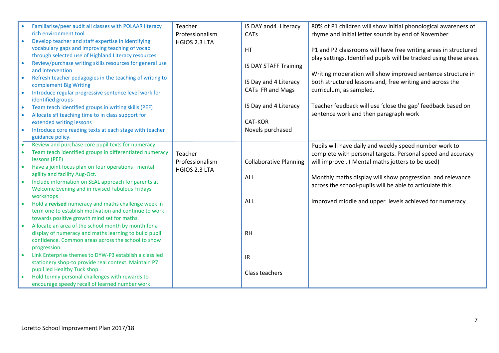|           | Familiarise/peer audit all classes with POLAAR literacy  | Teacher         | IS DAY and 4 Literacy         | 80% of P1 children will show initial phonological awareness of      |
|-----------|----------------------------------------------------------|-----------------|-------------------------------|---------------------------------------------------------------------|
|           | rich environment tool                                    | Professionalism | CATs                          | rhyme and initial letter sounds by end of November                  |
|           | Develop teacher and staff expertise in identifying       | HGIOS 2.3 LTA   |                               |                                                                     |
|           | vocabulary gaps and improving teaching of vocab          |                 | HT                            | P1 and P2 classrooms will have free writing areas in structured     |
|           | through selected use of Highland Literacy resources      |                 |                               | play settings. Identified pupils will be tracked using these areas. |
|           | Review/purchase writing skills resources for general use |                 | <b>IS DAY STAFF Training</b>  |                                                                     |
|           | and intervention                                         |                 |                               | Writing moderation will show improved sentence structure in         |
|           | Refresh teacher pedagogies in the teaching of writing to |                 |                               |                                                                     |
|           | complement Big Writing                                   |                 | IS Day and 4 Literacy         | both structured lessons and, free writing and across the            |
| $\bullet$ | Introduce regular progressive sentence level work for    |                 | CATs FR and Mags              | curriculum, as sampled.                                             |
|           | identified groups                                        |                 |                               |                                                                     |
| $\bullet$ | Team teach identified groups in writing skills (PEF)     |                 | IS Day and 4 Literacy         | Teacher feedback will use 'close the gap' feedback based on         |
| $\bullet$ | Allocate sfl teaching time to in class support for       |                 |                               | sentence work and then paragraph work                               |
|           | extended writing lessons                                 |                 | <b>CAT-KOR</b>                |                                                                     |
|           | Introduce core reading texts at each stage with teacher  |                 | Novels purchased              |                                                                     |
|           | guidance policy.                                         |                 |                               |                                                                     |
|           | Review and purchase core pupil texts for numeracy        |                 |                               | Pupils will have daily and weekly speed number work to              |
|           | Team teach identified groups in differentiated numeracy  | Teacher         |                               | complete with personal targets. Personal speed and accuracy         |
|           | lessons (PEF)                                            | Professionalism | <b>Collaborative Planning</b> | will improve . ( Mental maths jotters to be used)                   |
|           | Have a joint focus plan on four operations -mental       | HGIOS 2.3 LTA   |                               |                                                                     |
|           | agility and facility Aug-Oct.                            |                 | <b>ALL</b>                    | Monthly maths display will show progression and relevance           |
|           | Include information on SEAL approach for parents at      |                 |                               | across the school-pupils will be able to articulate this.           |
|           | Welcome Evening and in revised Fabulous Fridays          |                 |                               |                                                                     |
|           | workshops                                                |                 |                               |                                                                     |
|           | Hold a revised numeracy and maths challenge week in      |                 | <b>ALL</b>                    | Improved middle and upper levels achieved for numeracy              |
|           | term one to establish motivation and continue to work    |                 |                               |                                                                     |
|           | towards positive growth mind set for maths.              |                 |                               |                                                                     |
|           | Allocate an area of the school month by month for a      |                 |                               |                                                                     |
|           | display of numeracy and maths learning to build pupil    |                 | <b>RH</b>                     |                                                                     |
|           | confidence. Common areas across the school to show       |                 |                               |                                                                     |
|           | progression.                                             |                 |                               |                                                                     |
|           | Link Enterprise themes to DYW-P3 establish a class led   |                 | IR                            |                                                                     |
|           | stationery shop-to provide real context. Maintain P7     |                 |                               |                                                                     |
|           | pupil led Healthy Tuck shop.                             |                 | Class teachers                |                                                                     |
|           | Hold termly personal challenges with rewards to          |                 |                               |                                                                     |
|           | encourage speedy recall of learned number work           |                 |                               |                                                                     |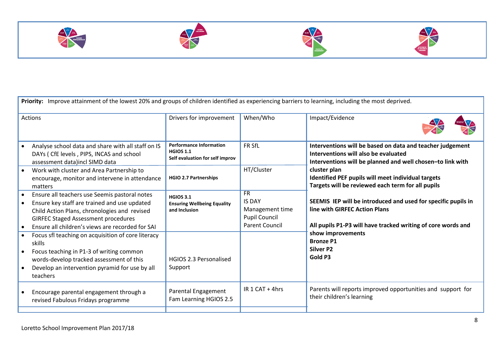







| Priority: Improve attainment of the lowest 20% and groups of children identified as experiencing barriers to learning, including the most deprived.                                                                                                                                    |                                                                                       |                                                                                                |                                                                                                                                                                 |
|----------------------------------------------------------------------------------------------------------------------------------------------------------------------------------------------------------------------------------------------------------------------------------------|---------------------------------------------------------------------------------------|------------------------------------------------------------------------------------------------|-----------------------------------------------------------------------------------------------------------------------------------------------------------------|
| Actions                                                                                                                                                                                                                                                                                | Drivers for improvement                                                               | When/Who                                                                                       | Impact/Evidence                                                                                                                                                 |
| Analyse school data and share with all staff on IS<br>DAYs (CfE levels, PIPS, INCAS and school<br>assessment data)incl SIMD data                                                                                                                                                       | <b>Performance Information</b><br><b>HGIOS 1.1</b><br>Self evaluation for self improv | FR SfL                                                                                         | Interventions will be based on data and teacher judgement<br>Interventions will also be evaluated<br>Interventions will be planned and well chosen-to link with |
| Work with cluster and Area Partnership to<br>$\bullet$<br>encourage, monitor and intervene in attendance<br>matters                                                                                                                                                                    | <b>HGIO 2.7 Partnerships</b>                                                          | HT/Cluster                                                                                     | cluster plan<br>Identified PEF pupils will meet individual targets<br>Targets will be reviewed each term for all pupils                                         |
| Ensure all teachers use Seemis pastoral notes<br>$\bullet$<br>Ensure key staff are trained and use updated<br>$\bullet$<br>Child Action Plans, chronologies and revised<br><b>GIRFEC Staged Assessment procedures</b><br>Ensure all children's views are recorded for SAI<br>$\bullet$ | <b>HGIOS 3.1</b><br><b>Ensuring Wellbeing Equality</b><br>and Inclusion               | <b>FR</b><br><b>IS DAY</b><br>Management time<br><b>Pupil Council</b><br><b>Parent Council</b> | SEEMIS IEP will be introduced and used for specific pupils in<br>line with GIRFEC Action Plans<br>All pupils P1-P3 will have tracked writing of core words and  |
| Focus sfl teaching on acquisition of core literacy<br>$\bullet$<br>skills<br>Focus teaching in P1-3 of writing common<br>$\bullet$<br>words-develop tracked assessment of this<br>Develop an intervention pyramid for use by all<br>$\bullet$<br>teachers                              | <b>HGIOS 2.3 Personalised</b><br>Support                                              |                                                                                                | show improvements<br><b>Bronze P1</b><br>Silver P2<br>Gold P3                                                                                                   |
| Encourage parental engagement through a<br>$\bullet$<br>revised Fabulous Fridays programme                                                                                                                                                                                             | Parental Engagement<br>Fam Learning HGIOS 2.5                                         | IR 1 CAT + 4hrs                                                                                | Parents will reports improved opportunities and support for<br>their children's learning                                                                        |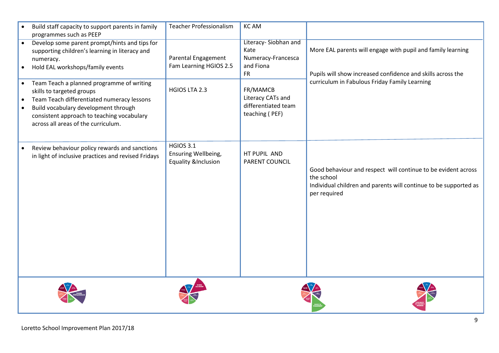|                        | Build staff capacity to support parents in family<br>programmes such as PEEP                                                                                                                         | <b>Teacher Professionalism</b>                                            | <b>KCAM</b>                                                                  |                                                                                                                                                                             |
|------------------------|------------------------------------------------------------------------------------------------------------------------------------------------------------------------------------------------------|---------------------------------------------------------------------------|------------------------------------------------------------------------------|-----------------------------------------------------------------------------------------------------------------------------------------------------------------------------|
| $\bullet$              | Develop some parent prompt/hints and tips for<br>supporting children's learning in literacy and<br>numeracy.<br>Hold EAL workshops/family events<br>Team Teach a planned programme of writing        | Parental Engagement<br>Fam Learning HGIOS 2.5                             | Literacy-Siobhan and<br>Kate<br>Numeracy-Francesca<br>and Fiona<br><b>FR</b> | More EAL parents will engage with pupil and family learning<br>Pupils will show increased confidence and skills across the<br>curriculum in Fabulous Friday Family Learning |
| $\bullet$<br>$\bullet$ | skills to targeted groups<br>Team Teach differentiated numeracy lessons<br>Build vocabulary development through<br>consistent approach to teaching vocabulary<br>across all areas of the curriculum. | HGIOS LTA 2.3                                                             | FR/MAMCB<br>Literacy CATs and<br>differentiated team<br>teaching (PEF)       |                                                                                                                                                                             |
|                        | Review behaviour policy rewards and sanctions<br>in light of inclusive practices and revised Fridays                                                                                                 | <b>HGIOS 3.1</b><br>Ensuring Wellbeing,<br><b>Equality &amp;Inclusion</b> | HT PUPIL AND<br>PARENT COUNCIL                                               | Good behaviour and respect will continue to be evident across<br>the school<br>Individual children and parents will continue to be supported as<br>per required             |
|                        |                                                                                                                                                                                                      |                                                                           |                                                                              |                                                                                                                                                                             |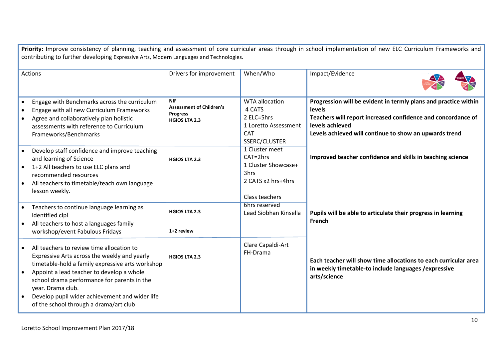Priority: Improve consistency of planning, teaching and assessment of core curricular areas through in school implementation of new ELC Curriculum Frameworks and contributing to further developing Expressive Arts, Modern Languages and Technologies. Actions **Drivers for improvement When/Who Impact/Evidence**  Engage with Benchmarks across the curriculum Engage with all new Curriculum Frameworks Agree and collaboratively plan holistic assessments with reference to Curriculum Frameworks/Benchmarks Develop staff confidence and improve teaching and learning of Science ● 1+2 All teachers to use ELC plans and recommended resources • All teachers to timetable/teach own language lesson weekly. Teachers to continue language learning as identified clpl All teachers to host a languages family workshop/event Fabulous Fridays All teachers to review time allocation to Expressive Arts across the weekly and yearly timetable-hold a family expressive arts workshop Appoint a lead teacher to develop a whole school drama performance for parents in the year. Drama club. Develop pupil wider achievement and wider life of the school through a drama/art club **NIF Assessment of Children's Progress HGIOS LTA 2.3 HGIOS LTA 2.3 HGIOS LTA 2.3 1+2 review HGIOS LTA 2.3** WTA allocation 4 CATS 2 ELC=5hrs 1 Loretto Assessment CAT SSERC/CLUSTER 1 Cluster meet CAT=2hrs 1 Cluster Showcase+ 3hrs 2 CATS x2 hrs+4hrs Class teachers 6hrs reserved Lead Siobhan Kinsella Clare Capaldi-Art FH-Drama **Progression will be evident in termly plans and practice within levels Teachers will report increased confidence and concordance of levels achieved Levels achieved will continue to show an upwards trend Improved teacher confidence and skills in teaching science Pupils will be able to articulate their progress in learning French Each teacher will show time allocations to each curricular area in weekly timetable-to include languages /expressive arts/science**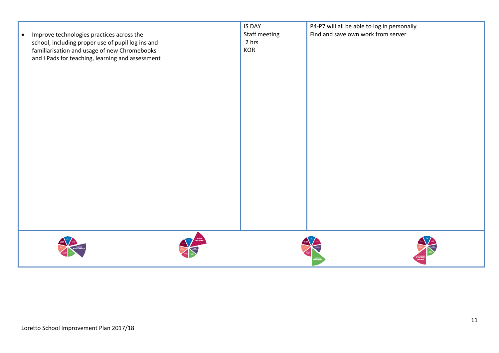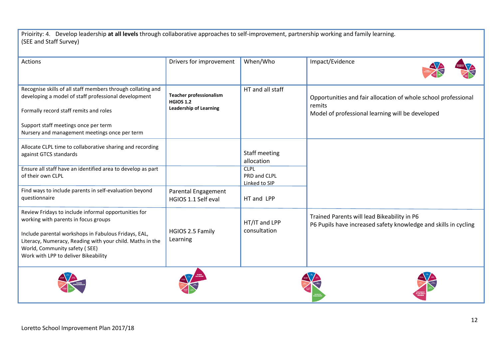Prioirity: 4. Develop leadership **at all levels** through collaborative approaches to self-improvement, partnership working and family learning. (SEE and Staff Survey)

| <b>Actions</b>                                                                                                                                                                                                                                                                             | Drivers for improvement                                                             | When/Who                                     | Impact/Evidence                                                                                                              |
|--------------------------------------------------------------------------------------------------------------------------------------------------------------------------------------------------------------------------------------------------------------------------------------------|-------------------------------------------------------------------------------------|----------------------------------------------|------------------------------------------------------------------------------------------------------------------------------|
| Recognise skills of all staff members through collating and<br>developing a model of staff professional development<br>Formally record staff remits and roles<br>Support staff meetings once per term<br>Nursery and management meetings once per term                                     | <b>Teacher professionalism</b><br><b>HGIOS 1.2</b><br><b>Leadership of Learning</b> | HT and all staff                             | Opportunities and fair allocation of whole school professional<br>remits<br>Model of professional learning will be developed |
| Allocate CLPL time to collaborative sharing and recording<br>against GTCS standards                                                                                                                                                                                                        |                                                                                     | <b>Staff meeting</b><br>allocation           |                                                                                                                              |
| Ensure all staff have an identified area to develop as part<br>of their own CLPL                                                                                                                                                                                                           |                                                                                     | <b>CLPL</b><br>PRD and CLPL<br>Linked to SIP |                                                                                                                              |
| Find ways to include parents in self-evaluation beyond<br>questionnaire                                                                                                                                                                                                                    | Parental Engagement<br>HGIOS 1.1 Self eval                                          | HT and LPP                                   |                                                                                                                              |
| Review Fridays to include informal opportunities for<br>working with parents in focus groups<br>Include parental workshops in Fabulous Fridays, EAL,<br>Literacy, Numeracy, Reading with your child. Maths in the<br>World, Community safety (SEE)<br>Work with LPP to deliver Bikeability | HGIOS 2.5 Family<br>Learning                                                        | HT/IT and LPP<br>consultation                | Trained Parents will lead Bikeability in P6<br>P6 Pupils have increased safety knowledge and skills in cycling               |
|                                                                                                                                                                                                                                                                                            |                                                                                     |                                              |                                                                                                                              |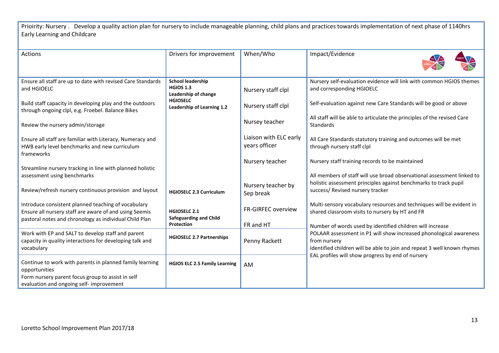Prioirity: Nursery . Develop a quality action plan for nursery to include manageable planning, child plans and practices towards implementation of next phase of 1140hrs Early Learning and Childcare

| Actions                                                                                                                                                                 | Drivers for improvement                                              | When/Who                                | Impact/Evidence                                                                                                                                               |
|-------------------------------------------------------------------------------------------------------------------------------------------------------------------------|----------------------------------------------------------------------|-----------------------------------------|---------------------------------------------------------------------------------------------------------------------------------------------------------------|
| Ensure all staff are up to date with revised Care Standards<br>and HGIOELC                                                                                              | <b>School leadership</b><br><b>HGIOS 1.3</b><br>Leadership of change | Nursery staff clpl                      | Nursery self-evaluation evidence will link with common HGIOS themes<br>and corresponding HGIOELC                                                              |
| Build staff capacity in developing play and the outdoors<br>through ongoing clpl, e.g. Froebel. Balance Bikes                                                           | <b>HGIOSELC</b><br>Leadership of Learning 1.2                        | Nursery staff clpl                      | Self-evaluation against new Care Standards will be good or above                                                                                              |
| Review the nursery admin/storage                                                                                                                                        |                                                                      | Nursey teacher                          | All staff will be able to articulate the principles of the revised Care<br>Standards                                                                          |
| Ensure all staff are familiar with Literacy, Numeracy and<br>HWB early level benchmarks and new curriculum<br>frameworks                                                |                                                                      | Liaison with ELC early<br>years officer | All Care Standards statutory training and outcomes will be met<br>through nursery staff clpl                                                                  |
| Streamline nursery tracking in line with planned holistic                                                                                                               |                                                                      | Nursery teacher                         | Nursery staff training records to be maintained                                                                                                               |
| assessment using benchmarks                                                                                                                                             |                                                                      |                                         | All members of staff will use broad observational assessment linked to<br>holistic assessment principles against benchmarks to track pupil                    |
| Review/refresh nursery continuous provision and layout                                                                                                                  | <b>HGIOSELC 2.3 Curriculum</b>                                       | Nursery teacher by<br>Sep break         | success/ Revised nursery tracker                                                                                                                              |
| Introduce consistent planned teaching of vocabulary<br>Ensure all nursery staff are aware of and using Seemis<br>pastoral notes and chronology as individual Child Plan | <b>HGIOSELC 2.1</b><br><b>Safeguarding and Child</b>                 | FR-GIRFEC overview                      | Multi-sensory vocabulary resources and techniques will be evident in<br>shared classroom visits to nursery by HT and FR                                       |
|                                                                                                                                                                         | <b>Protection</b>                                                    | FR and HT                               | Number of words used by identified children will increase                                                                                                     |
| Work with EP and SALT to develop staff and parent<br>capacity in quality interactions for developing talk and<br>vocabulary                                             | <b>HGIOSELC 2.7 Partnerships</b>                                     | Penny Rackett                           | POLAAR assessment in P1 will show increased phonological awareness<br>from nursery<br>Identified children will be able to join and repeat 3 well known rhymes |
| Continue to work with parents in planned family learning<br>opportunities                                                                                               | <b>HGIOS ELC 2.5 Family Learning</b>                                 | AM                                      | EAL profiles will show progress by end of nursery                                                                                                             |
| Form nursery parent focus group to assist in self<br>evaluation and ongoing self- improvement                                                                           |                                                                      |                                         |                                                                                                                                                               |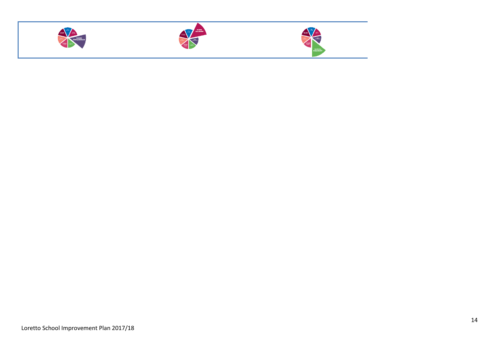